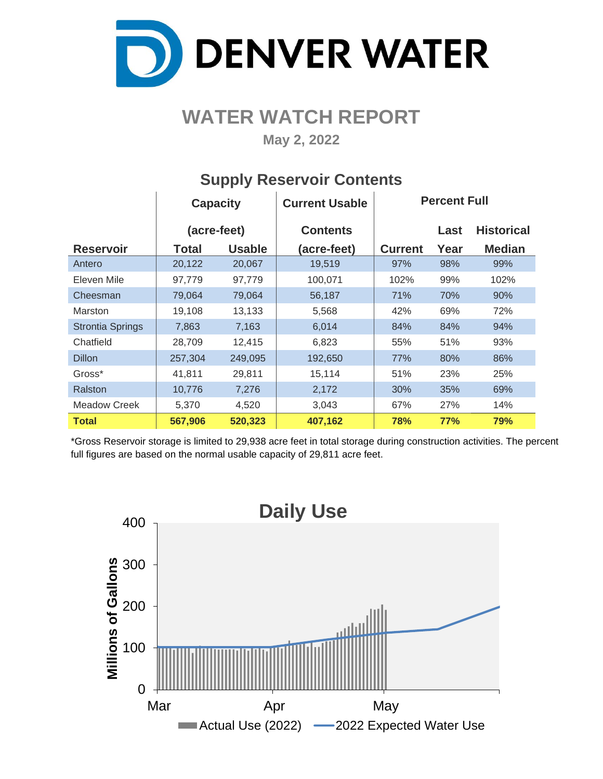

# **WATER WATCH REPORT**

**May 2, 2022**

|                         | <b>Capacity</b> |               | <b>Current Usable</b> | <b>Percent Full</b> |            |                   |  |  |  |
|-------------------------|-----------------|---------------|-----------------------|---------------------|------------|-------------------|--|--|--|
|                         | (acre-feet)     |               | <b>Contents</b>       |                     | Last       | <b>Historical</b> |  |  |  |
| <b>Reservoir</b>        | <b>Total</b>    | <b>Usable</b> | (acre-feet)           | <b>Current</b>      | Year       | <b>Median</b>     |  |  |  |
| Antero                  | 20,122          | 20,067        | 19,519                | 97%                 | 98%        | 99%               |  |  |  |
| Eleven Mile             | 97,779          | 97,779        | 100,071               | 102%                | 99%        | 102%              |  |  |  |
| Cheesman                | 79,064          | 79,064        | 56,187                | 71%                 | 70%        | 90%               |  |  |  |
| Marston                 | 19,108          | 13,133        | 5,568                 | 42%                 | 69%        | 72%               |  |  |  |
| <b>Strontia Springs</b> | 7,863           | 7,163         | 6,014                 | 84%                 | 84%        | 94%               |  |  |  |
| Chatfield               | 28,709          | 12,415        | 6,823                 | 55%                 | 51%        | 93%               |  |  |  |
| <b>Dillon</b>           | 257,304         | 249,095       | 192,650               | 77%                 | 80%        | 86%               |  |  |  |
| Gross*                  | 41,811          | 29,811        | 15,114                | 51%                 | 23%        | 25%               |  |  |  |
| Ralston                 | 10,776          | 7,276         | 2,172                 | 30%                 | 35%        | 69%               |  |  |  |
| <b>Meadow Creek</b>     | 5,370           | 4,520         | 3,043                 | 67%                 | 27%        | 14%               |  |  |  |
| <b>Total</b>            | 567,906         | 520,323       | 407,162               | 78%                 | <b>77%</b> | 79%               |  |  |  |

### **Supply Reservoir Contents**

\*Gross Reservoir storage is limited to 29,938 acre feet in total storage during construction activities. The percent full figures are based on the normal usable capacity of 29,811 acre feet.

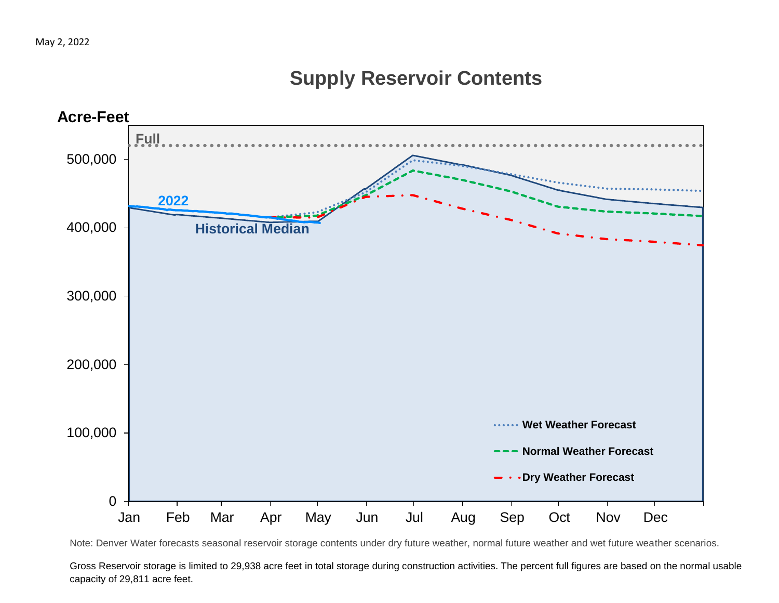## **Supply Reservoir Contents**



Note: Denver Water forecasts seasonal reservoir storage contents under dry future weather, normal future weather and wet future weather scenarios.

Gross Reservoir storage is limited to 29,938 acre feet in total storage during construction activities. The percent full figures are based on the normal usable capacity of 29,811 acre feet.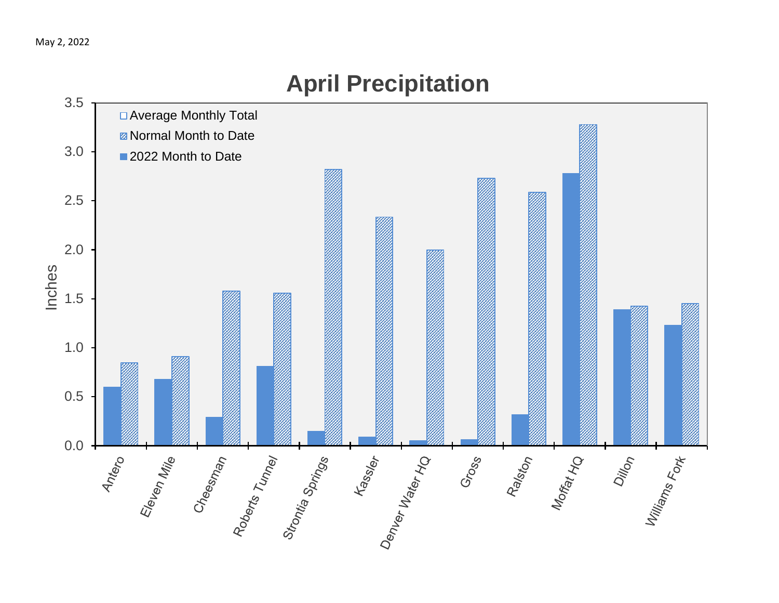

# **April Precipitation**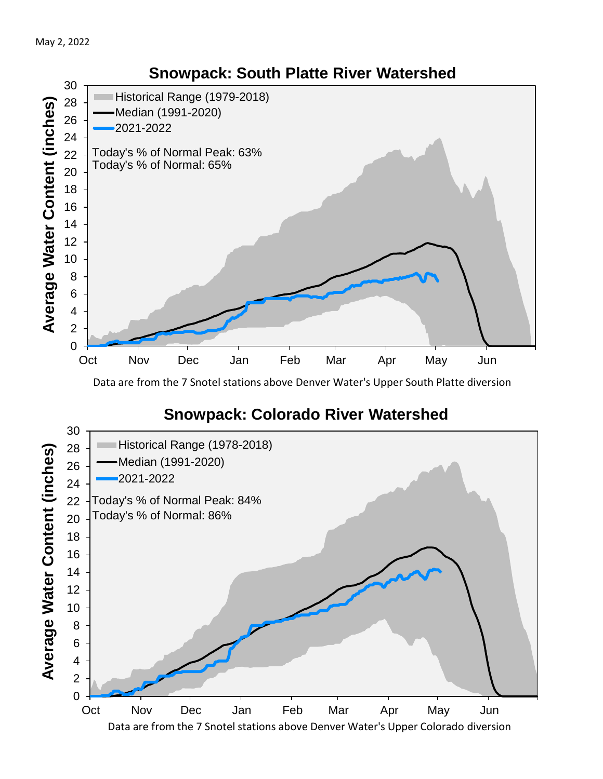

Data are from the 7 Snotel stations above Denver Water's Upper South Platte diversion

## **Snowpack: Colorado River Watershed**

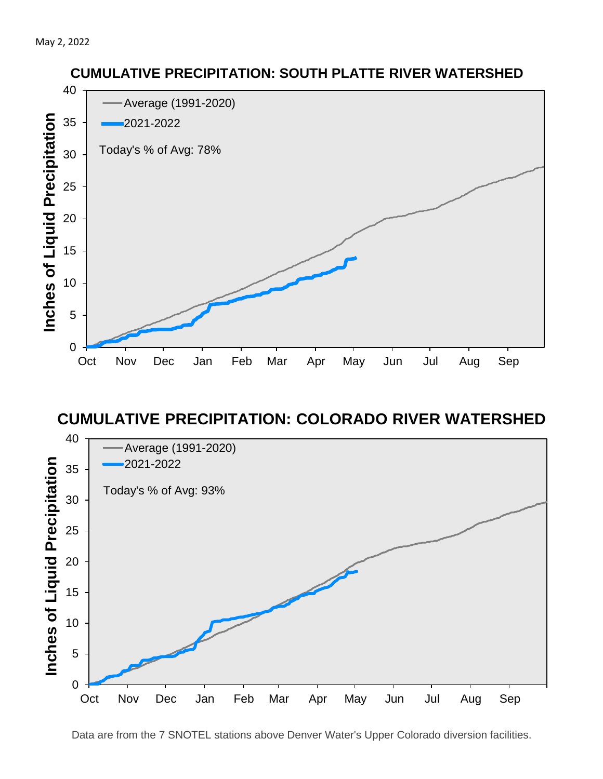

#### **CUMULATIVE PRECIPITATION: COLORADO RIVER WATERSHED**



**CUMULATIVE PRECIPITATION: SOUTH PLATTE RIVER WATERSHED**

Data are from the 7 SNOTEL stations above Denver Water's Upper Colorado diversion facilities.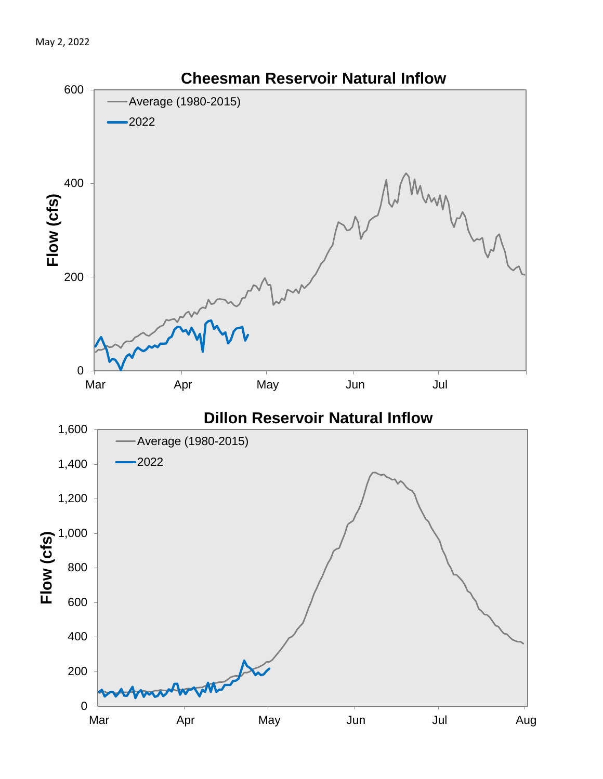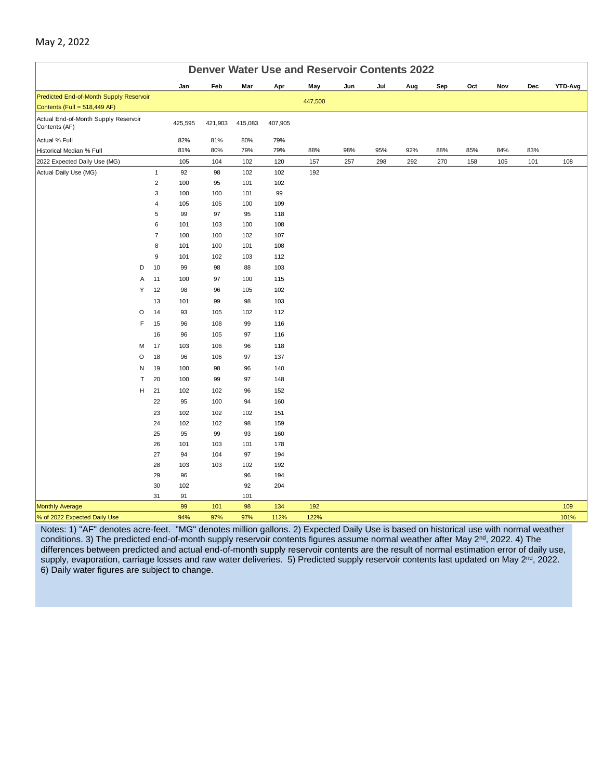| <b>Denver Water Use and Reservoir Contents 2022</b>   |                              |           |           |           |            |         |     |     |     |     |     |     |     |                |
|-------------------------------------------------------|------------------------------|-----------|-----------|-----------|------------|---------|-----|-----|-----|-----|-----|-----|-----|----------------|
|                                                       |                              | Jan       | Feb       | Mar       | Apr        | May     | Jun | Jul | Aug | Sep | Oct | Nov | Dec | <b>YTD-Avg</b> |
| Predicted End-of-Month Supply Reservoir               |                              |           |           |           |            | 447,500 |     |     |     |     |     |     |     |                |
| Contents (Full = 518,449 AF)                          |                              |           |           |           |            |         |     |     |     |     |     |     |     |                |
| Actual End-of-Month Supply Reservoir<br>Contents (AF) |                              | 425,595   | 421,903   | 415,083   | 407,905    |         |     |     |     |     |     |     |     |                |
| Actual % Full                                         |                              | 82%       | 81%       | 80%       | 79%        |         |     |     |     |     |     |     |     |                |
| Historical Median % Full                              |                              | 81%       | 80%       | 79%       | 79%        | 88%     | 98% | 95% | 92% | 88% | 85% | 84% | 83% |                |
| 2022 Expected Daily Use (MG)                          |                              | 105       | 104       | 102       | 120        | 157     | 257 | 298 | 292 | 270 | 158 | 105 | 101 | 108            |
| Actual Daily Use (MG)                                 | $\mathbf{1}$                 | 92        | 98        | 102       | 102        | 192     |     |     |     |     |     |     |     |                |
|                                                       | $\overline{2}$               | 100       | 95        | 101       | 102        |         |     |     |     |     |     |     |     |                |
|                                                       | 3                            | 100       | 100       | 101       | 99         |         |     |     |     |     |     |     |     |                |
|                                                       | $\overline{\mathbf{4}}$<br>5 | 105<br>99 | 105<br>97 | 100<br>95 | 109<br>118 |         |     |     |     |     |     |     |     |                |
|                                                       | 6                            | 101       | 103       | 100       | 108        |         |     |     |     |     |     |     |     |                |
|                                                       | $\overline{7}$               | 100       | 100       | 102       | 107        |         |     |     |     |     |     |     |     |                |
|                                                       | 8                            | 101       | 100       | 101       | 108        |         |     |     |     |     |     |     |     |                |
|                                                       | $\boldsymbol{9}$             | 101       | 102       | 103       | 112        |         |     |     |     |     |     |     |     |                |
| D                                                     | 10                           | 99        | 98        | 88        | 103        |         |     |     |     |     |     |     |     |                |
| Α                                                     | 11                           | 100       | 97        | 100       | 115        |         |     |     |     |     |     |     |     |                |
| Υ                                                     | 12                           | 98        | 96        | 105       | 102        |         |     |     |     |     |     |     |     |                |
|                                                       | 13                           | 101       | 99        | 98        | 103        |         |     |     |     |     |     |     |     |                |
| O                                                     | 14                           | 93        | 105       | 102       | 112        |         |     |     |     |     |     |     |     |                |
| F                                                     | 15                           | 96        | 108       | 99        | 116        |         |     |     |     |     |     |     |     |                |
|                                                       | 16                           | 96        | 105       | 97        | 116        |         |     |     |     |     |     |     |     |                |
| М                                                     | 17                           | 103       | 106       | 96        | 118        |         |     |     |     |     |     |     |     |                |
| O                                                     | 18                           | 96        | 106       | 97        | 137        |         |     |     |     |     |     |     |     |                |
| N                                                     | 19                           | 100       | 98        | 96        | 140        |         |     |     |     |     |     |     |     |                |
| T                                                     | 20                           | 100       | 99        | 97        | 148        |         |     |     |     |     |     |     |     |                |
| н                                                     | 21                           | 102       | 102       | 96        | 152        |         |     |     |     |     |     |     |     |                |
|                                                       | 22                           | 95        | 100       | 94        | 160        |         |     |     |     |     |     |     |     |                |
|                                                       | 23                           | 102       | 102       | 102       | 151        |         |     |     |     |     |     |     |     |                |
|                                                       | 24                           | 102       | 102       | 98        | 159        |         |     |     |     |     |     |     |     |                |
|                                                       | 25                           | 95        | 99        | 93        | 160        |         |     |     |     |     |     |     |     |                |
|                                                       | 26                           | 101       | 103       | 101       | 178        |         |     |     |     |     |     |     |     |                |
|                                                       | 27                           | 94        | 104       | 97        | 194        |         |     |     |     |     |     |     |     |                |
|                                                       | 28                           | 103       | 103       | 102       | 192        |         |     |     |     |     |     |     |     |                |
|                                                       | 29<br>30                     | 96<br>102 |           | 96<br>92  | 194<br>204 |         |     |     |     |     |     |     |     |                |
|                                                       | 31                           | 91        |           | 101       |            |         |     |     |     |     |     |     |     |                |
| <b>Monthly Average</b>                                |                              | 99        | 101       | 98        | 134        | 192     |     |     |     |     |     |     |     | 109            |
| % of 2022 Expected Daily Use                          |                              | 94%       | 97%       | 97%       | 112%       | 122%    |     |     |     |     |     |     |     | 101%           |
|                                                       |                              |           |           |           |            |         |     |     |     |     |     |     |     |                |

Notes: 1) "AF" denotes acre-feet. "MG" denotes million gallons. 2) Expected Daily Use is based on historical use with normal weather conditions. 3) The predicted end-of-month supply reservoir contents figures assume normal weather after May 2<sup>nd</sup>, 2022. 4) The differences between predicted and actual end-of-month supply reservoir contents are the result of normal estimation error of daily use, supply, evaporation, carriage losses and raw water deliveries. 5) Predicted supply reservoir contents last updated on May 2<sup>nd</sup>, 2022. 6) Daily water figures are subject to change.